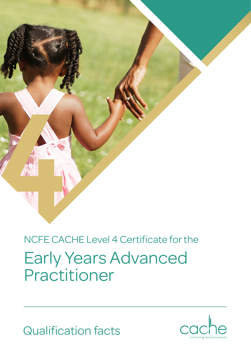

# Early Years Advanced Practitioner NCFE CACHE Level 4 Certificate for the

Qualification facts

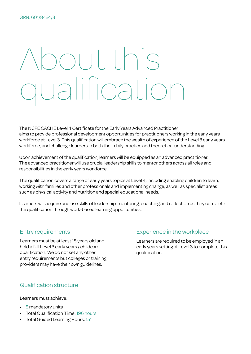# About this qualification

The NCFE CACHE Level 4 Certificate for the Early Years Advanced Practitioner aims to provide professional development opportunities for practitioners working in the early years workforce at Level 3. This qualification will embrace the wealth of experience of the Level 3 early years workforce, and challenge learners in both their daily practice and theoretical understanding.

Upon achievement of the qualification, learners will be equipped as an advanced practitioner. The advanced practitioner will use crucial leadership skills to mentor others across all roles and responsibilities in the early years workforce.

The qualification covers a range of early years topics at Level 4, including enabling children to learn, working with families and other professionals and implementing change, as well as specialist areas such as physical activity and nutrition and special educational needs.

Learners will acquire and use skills of leadership, mentoring, coaching and reflection as they complete the qualification through work-based learning opportunities.

# Entry requirements

Learners must be at least 18 years old and hold a full Level 3 early years / childcare qualification. We do not set any other entry requirements but colleges or training providers may have their own guidelines.

# Experience in the workplace

Learners are required to be employed in an early years setting at Level 3 to complete this qualification.

#### Qualification structure

Learners must achieve:

- 5 mandatory units
- Total Qualification Time: 196 hours
- Total Guided Learning Hours: 151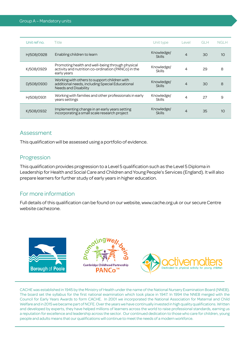| Unit ref no. | Title                                                                                                                          | Unit type                   | Level          | <b>GLH</b> | <b>NGLH</b> |
|--------------|--------------------------------------------------------------------------------------------------------------------------------|-----------------------------|----------------|------------|-------------|
| H/508/0928   | Enabling children to learn                                                                                                     | Knowledge/<br><b>Skills</b> | $\overline{4}$ | 30         | 10          |
| K/508/0929   | Promoting health and well-being through physical<br>activity and nutrition co-ordination (PANCo) in the<br>early years         | Knowledge/<br><b>Skills</b> | 4              | 29         | 8           |
| D/508/0930   | Working with others to support children with<br>additional needs, including Special Educational<br><b>Needs and Disability</b> | Knowledge/<br><b>Skills</b> | $\overline{4}$ | 30         | 8           |
| H/508/0931   | Working with families and other professionals in early<br>years settings                                                       | Knowledge/<br><b>Skills</b> | 4              | 27         | 9           |
| K/508/0932   | Implementing change in an early years setting<br>incorporating a small scale research project                                  | Knowledge/<br><b>Skills</b> | $\overline{4}$ | 35         | 10          |

#### Assessment

This qualification will be assessed using a portfolio of evidence.

### Progression

This qualification provides progression to a Level 5 qualification such as the Level 5 Diploma in Leadership for Health and Social Care and Children and Young People's Services (England). It will also prepare learners for further study of early years in higher education.

#### For more information

Full details of this qualification can be found on our website, www.cache.org.uk or our secure Centre website cachezone.



CACHE was established in 1945 by the Ministry of Health under the name of the National Nursery Examination Board (NNEB). The board set the syllabus for the first national examination which took place in 1947. In 1994 the NNEB merged with the Council for Early Years Awards to form CACHE. In 2001 we incorporated the National Association for Maternal and Child Welfare and in 2015 we became part of NCFE. Over the years we have continually invested in high quality qualifications. Written and developed by experts, they have helped millions of learners across the world to raise professional standards, earning us a reputation for excellence and leadership across the sector. Our continued dedication to those who care for children, young people and adults means that our qualifications will continue to meet the needs of a modern workforce.